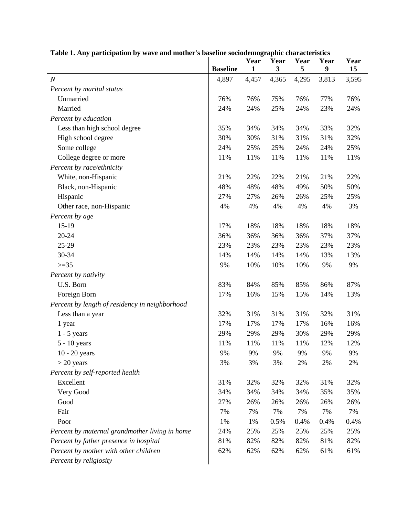|                                                |                 | Year  | Year  | Year  | Year  | Year  |
|------------------------------------------------|-----------------|-------|-------|-------|-------|-------|
|                                                | <b>Baseline</b> | 1     | 3     | 5     | 9     | 15    |
| $\boldsymbol{N}$                               | 4,897           | 4,457 | 4,365 | 4,295 | 3,813 | 3,595 |
| Percent by marital status                      |                 |       |       |       |       |       |
| Unmarried                                      | 76%             | 76%   | 75%   | 76%   | 77%   | 76%   |
| Married                                        | 24%             | 24%   | 25%   | 24%   | 23%   | 24%   |
| Percent by education                           |                 |       |       |       |       |       |
| Less than high school degree                   | 35%             | 34%   | 34%   | 34%   | 33%   | 32%   |
| High school degree                             | 30%             | 30%   | 31%   | 31%   | 31%   | 32%   |
| Some college                                   | 24%             | 25%   | 25%   | 24%   | 24%   | 25%   |
| College degree or more                         | 11%             | 11%   | 11%   | 11%   | 11%   | 11%   |
| Percent by race/ethnicity                      |                 |       |       |       |       |       |
| White, non-Hispanic                            | 21%             | 22%   | 22%   | 21%   | 21%   | 22%   |
| Black, non-Hispanic                            | 48%             | 48%   | 48%   | 49%   | 50%   | 50%   |
| Hispanic                                       | 27%             | 27%   | 26%   | 26%   | 25%   | 25%   |
| Other race, non-Hispanic                       | 4%              | 4%    | 4%    | 4%    | 4%    | 3%    |
| Percent by age                                 |                 |       |       |       |       |       |
| 15-19                                          | 17%             | 18%   | 18%   | 18%   | 18%   | 18%   |
| 20-24                                          | 36%             | 36%   | 36%   | 36%   | 37%   | 37%   |
| 25-29                                          | 23%             | 23%   | 23%   | 23%   | 23%   | 23%   |
| 30-34                                          | 14%             | 14%   | 14%   | 14%   | 13%   | 13%   |
| $>=35$                                         | 9%              | 10%   | 10%   | 10%   | 9%    | 9%    |
| Percent by nativity                            |                 |       |       |       |       |       |
| U.S. Born                                      | 83%             | 84%   | 85%   | 85%   | 86%   | 87%   |
| Foreign Born                                   | 17%             | 16%   | 15%   | 15%   | 14%   | 13%   |
| Percent by length of residency in neighborhood |                 |       |       |       |       |       |
| Less than a year                               | 32%             | 31%   | 31%   | 31%   | 32%   | 31%   |
| 1 year                                         | 17%             | 17%   | 17%   | 17%   | 16%   | 16%   |
| $1 - 5$ years                                  | 29%             | 29%   | 29%   | 30%   | 29%   | 29%   |
| 5 - 10 years                                   | 11%             | 11%   | 11%   | 11%   | 12%   | 12%   |
| $10 - 20$ years                                | 9%              | 9%    | 9%    | 9%    | 9%    | 9%    |
| $>$ 20 years                                   | 3%              | 3%    | 3%    | 2%    | 2%    | 2%    |
| Percent by self-reported health                |                 |       |       |       |       |       |
| Excellent                                      | 31%             | 32%   | 32%   | 32%   | 31%   | 32%   |
| Very Good                                      | 34%             | 34%   | 34%   | 34%   | 35%   | 35%   |
| Good                                           | 27%             | 26%   | 26%   | 26%   | 26%   | 26%   |
| Fair                                           | 7%              | 7%    | 7%    | 7%    | 7%    | 7%    |
| Poor                                           | 1%              | 1%    | 0.5%  | 0.4%  | 0.4%  | 0.4%  |
| Percent by maternal grandmother living in home | 24%             | 25%   | 25%   | 25%   | 25%   | 25%   |
| Percent by father presence in hospital         | 81%             | 82%   | 82%   | 82%   | 81%   | 82%   |
| Percent by mother with other children          | 62%             | 62%   | 62%   | 62%   | 61%   | 61%   |
| Percent by religiosity                         |                 |       |       |       |       |       |

## **Table 1. Any participation by wave and mother's baseline sociodemographic characteristics**